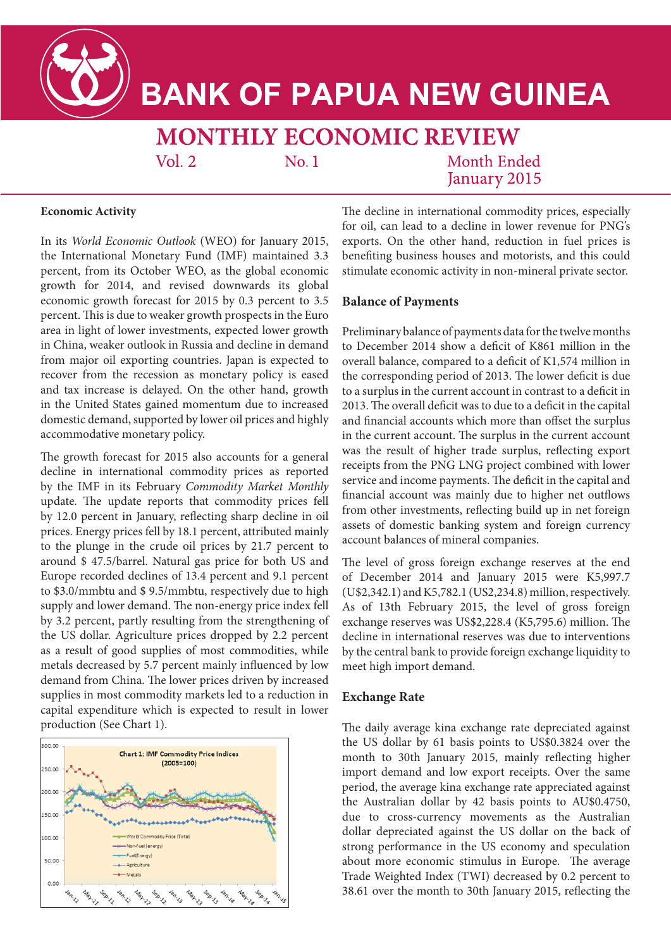

# **BANK OF PAPUA NEW GUINEA**

# MONTHLY ECONOMIC REVIEW

 $Vol. 2$ 

 $No.1$ 

**Month Ended** January 2015

# **Economic Activity**

In its *World Economic Outlook* (WEO) for January 2015, the International Monetary Fund (IMF) maintained 3.3 percent, from its October WEO, as the global economic growth for 2014, and revised downwards its global economic growth forecast for 2015 by 0.3 percent to 3.5 percent. This is due to weaker growth prospects in the Euro area in light of lower investments, expected lower growth in China, weaker outlook in Russia and decline in demand from major oil exporting countries. Japan is expected to recover from the recession as monetary policy is eased and tax increase is delayed. On the other hand, growth in the United States gained momentum due to increased domestic demand, supported by lower oil prices and highly accommodative monetary policy.

The growth forecast for 2015 also accounts for a general decline in international commodity prices as reported by the IMF in its February *Commodity Market Monthly* update. The update reports that commodity prices fell by 12.0 percent in January, reflecting sharp decline in oil prices. Energy prices fell by 18.1 percent, attributed mainly to the plunge in the crude oil prices by 21.7 percent to around \$ 47.5/barrel. Natural gas price for both US and Europe recorded declines of 13.4 percent and 9.1 percent to \$3.0/mmbtu and \$ 9.5/mmbtu, respectively due to high supply and lower demand. The non-energy price index fell by 3.2 percent, partly resulting from the strengthening of the US dollar. Agriculture prices dropped by 2.2 percent as a result of good supplies of most commodities, while metals decreased by 5.7 percent mainly influenced by low demand from China. The lower prices driven by increased supplies in most commodity markets led to a reduction in capital expenditure which is expected to result in lower production (See Chart 1).



The decline in international commodity prices, especially for oil, can lead to a decline in lower revenue for PNG's exports. On the other hand, reduction in fuel prices is benefiting business houses and motorists, and this could stimulate economic activity in non-mineral private sector.

# **Balance of Payments**

Preliminary balance of payments data for the twelve months to December 2014 show a deficit of K861 million in the overall balance, compared to a deficit of K1,574 million in the corresponding period of 2013. The lower deficit is due to a surplus in the current account in contrast to a deficit in 2013. The overall deficit was to due to a deficit in the capital and financial accounts which more than offset the surplus in the current account. The surplus in the current account was the result of higher trade surplus, reflecting export receipts from the PNG LNG project combined with lower service and income payments. The deficit in the capital and financial account was mainly due to higher net outflows from other investments, reflecting build up in net foreign assets of domestic banking system and foreign currency account balances of mineral companies.

The level of gross foreign exchange reserves at the end of December 2014 and January 2015 were K5,997.7 (U\$2,342.1) and K5,782.1 (US2,234.8) million, respectively. As of 13th February 2015, the level of gross foreign exchange reserves was US\$2,228.4 (K5,795.6) million. The decline in international reserves was due to interventions by the central bank to provide foreign exchange liquidity to meet high import demand.

# **Exchange Rate**

The daily average kina exchange rate depreciated against the US dollar by 61 basis points to US\$0.3824 over the month to 30th January 2015, mainly reflecting higher import demand and low export receipts. Over the same period, the average kina exchange rate appreciated against the Australian dollar by 42 basis points to AU\$0.4750, due to cross-currency movements as the Australian dollar depreciated against the US dollar on the back of strong performance in the US economy and speculation about more economic stimulus in Europe. The average Trade Weighted Index (TWI) decreased by 0.2 percent to 38.61 over the month to 30th January 2015, reflecting the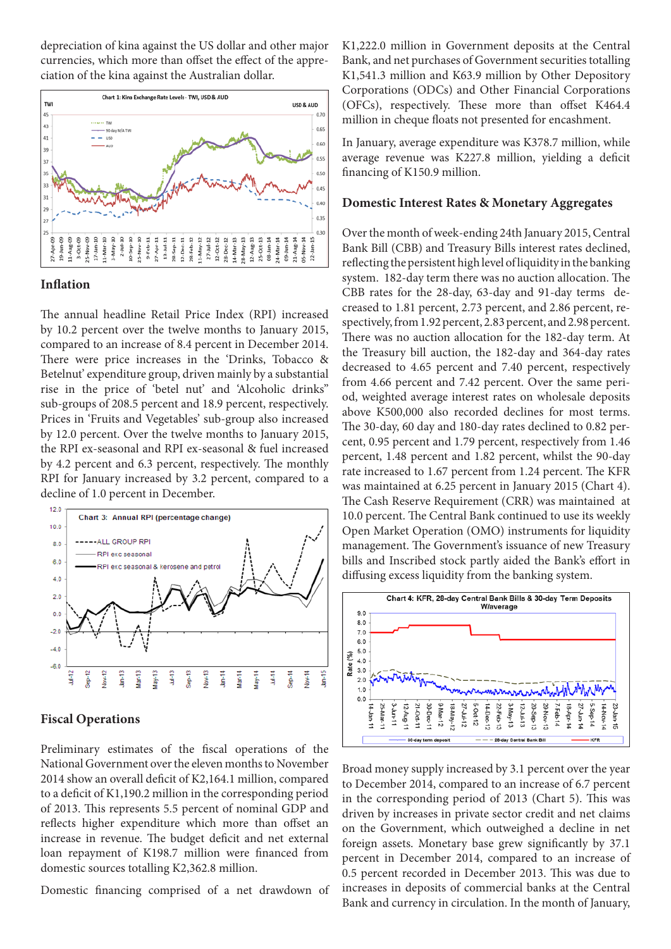depreciation of kina against the US dollar and other major currencies, which more than offset the effect of the appreciation of the kina against the Australian dollar.



#### **Inflation**

The annual headline Retail Price Index (RPI) increased by 10.2 percent over the twelve months to January 2015, compared to an increase of 8.4 percent in December 2014. There were price increases in the 'Drinks, Tobacco & Betelnut' expenditure group, driven mainly by a substantial rise in the price of 'betel nut' and 'Alcoholic drinks" sub-groups of 208.5 percent and 18.9 percent, respectively. Prices in 'Fruits and Vegetables' sub-group also increased by 12.0 percent. Over the twelve months to January 2015, the RPI ex-seasonal and RPI ex-seasonal & fuel increased by 4.2 percent and 6.3 percent, respectively. The monthly RPI for January increased by 3.2 percent, compared to a decline of 1.0 percent in December.



#### **Fiscal Operations**

Preliminary estimates of the fiscal operations of the National Government over the eleven months to November 2014 show an overall deficit of K2,164.1 million, compared to a deficit of K1,190.2 million in the corresponding period of 2013. This represents 5.5 percent of nominal GDP and reflects higher expenditure which more than offset an increase in revenue. The budget deficit and net external loan repayment of K198.7 million were financed from domestic sources totalling K2,362.8 million.

Domestic financing comprised of a net drawdown of

K1,222.0 million in Government deposits at the Central Bank, and net purchases of Government securities totalling K1,541.3 million and K63.9 million by Other Depository Corporations (ODCs) and Other Financial Corporations (OFCs), respectively. These more than offset K464.4 million in cheque floats not presented for encashment.

In January, average expenditure was K378.7 million, while average revenue was K227.8 million, yielding a deficit financing of K150.9 million.

### **Domestic Interest Rates & Monetary Aggregates**

Over the month of week-ending 24th January 2015, Central Bank Bill (CBB) and Treasury Bills interest rates declined, reflecting the persistent high level of liquidity in the banking system. 182-day term there was no auction allocation. The CBB rates for the 28-day, 63-day and 91-day terms decreased to 1.81 percent, 2.73 percent, and 2.86 percent, respectively, from 1.92 percent, 2.83 percent, and 2.98 percent. There was no auction allocation for the 182-day term. At the Treasury bill auction, the 182-day and 364-day rates decreased to 4.65 percent and 7.40 percent, respectively from 4.66 percent and 7.42 percent. Over the same period, weighted average interest rates on wholesale deposits above K500,000 also recorded declines for most terms. The 30-day, 60 day and 180-day rates declined to 0.82 percent, 0.95 percent and 1.79 percent, respectively from 1.46 percent, 1.48 percent and 1.82 percent, whilst the 90-day rate increased to 1.67 percent from 1.24 percent. The KFR was maintained at 6.25 percent in January 2015 (Chart 4). The Cash Reserve Requirement (CRR) was maintained at 10.0 percent. The Central Bank continued to use its weekly Open Market Operation (OMO) instruments for liquidity management. The Government's issuance of new Treasury bills and Inscribed stock partly aided the Bank's effort in diffusing excess liquidity from the banking system.



Broad money supply increased by 3.1 percent over the year to December 2014, compared to an increase of 6.7 percent in the corresponding period of 2013 (Chart 5). This was driven by increases in private sector credit and net claims on the Government, which outweighed a decline in net foreign assets. Monetary base grew significantly by 37.1 percent in December 2014, compared to an increase of 0.5 percent recorded in December 2013. This was due to increases in deposits of commercial banks at the Central Bank and currency in circulation. In the month of January,